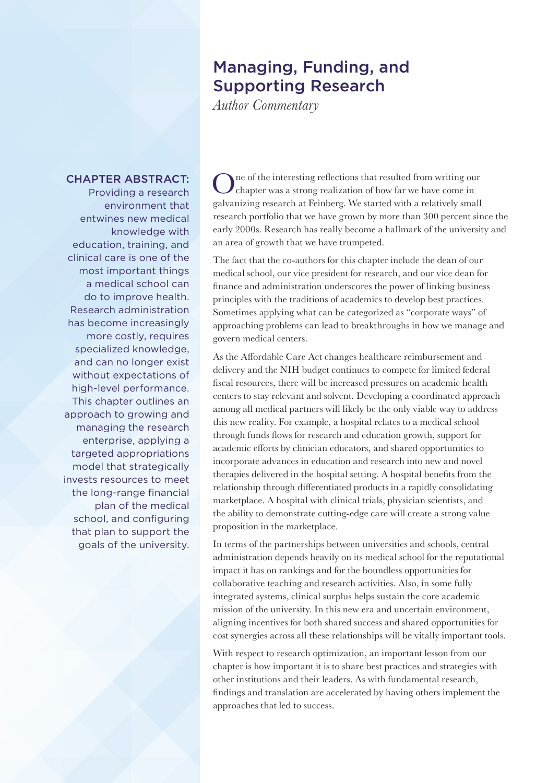## Managing, Funding, and Supporting Research

*Author Commentary*

## CHAPTER ABSTRACT:

Providing a research environment that entwines new medical knowledge with education, training, and clinical care is one of the most important things a medical school can do to improve health. Research administration has become increasingly more costly, requires specialized knowledge, and can no longer exist without expectations of high-level performance. This chapter outlines an approach to growing and managing the research enterprise, applying a targeted appropriations model that strategically invests resources to meet the long-range financial plan of the medical school, and configuring that plan to support the goals of the university.

ne of the interesting reflections that resulted from writing our chapter was a strong realization of how far we have come in galvanizing research at Feinberg. We started with a relatively small research portfolio that we have grown by more than 300 percent since the early 2000s. Research has really become a hallmark of the university and an area of growth that we have trumpeted.

The fact that the co-authors for this chapter include the dean of our medical school, our vice president for research, and our vice dean for finance and administration underscores the power of linking business principles with the traditions of academics to develop best practices. Sometimes applying what can be categorized as "corporate ways" of approaching problems can lead to breakthroughs in how we manage and govern medical centers.

As the Affordable Care Act changes healthcare reimbursement and delivery and the NIH budget continues to compete for limited federal fiscal resources, there will be increased pressures on academic health centers to stay relevant and solvent. Developing a coordinated approach among all medical partners will likely be the only viable way to address this new reality. For example, a hospital relates to a medical school through funds flows for research and education growth, support for academic efforts by clinician educators, and shared opportunities to incorporate advances in education and research into new and novel therapies delivered in the hospital setting. A hospital benefits from the relationship through differentiated products in a rapidly consolidating marketplace. A hospital with clinical trials, physician scientists, and the ability to demonstrate cutting-edge care will create a strong value proposition in the marketplace.

In terms of the partnerships between universities and schools, central administration depends heavily on its medical school for the reputational impact it has on rankings and for the boundless opportunities for collaborative teaching and research activities. Also, in some fully integrated systems, clinical surplus helps sustain the core academic mission of the university. In this new era and uncertain environment, aligning incentives for both shared success and shared opportunities for cost synergies across all these relationships will be vitally important tools.

With respect to research optimization, an important lesson from our chapter is how important it is to share best practices and strategies with other institutions and their leaders. As with fundamental research, findings and translation are accelerated by having others implement the approaches that led to success.